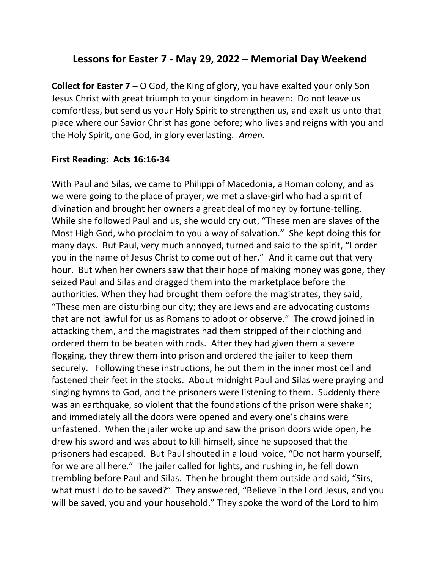# **Lessons for Easter 7 - May 29, 2022 – Memorial Day Weekend**

**Collect for Easter 7 –** O God, the King of glory, you have exalted your only Son Jesus Christ with great triumph to your kingdom in heaven: Do not leave us comfortless, but send us your Holy Spirit to strengthen us, and exalt us unto that place where our Savior Christ has gone before; who lives and reigns with you and the Holy Spirit, one God, in glory everlasting. *Amen.*

### **First Reading: Acts 16:16-34**

With Paul and Silas, we came to Philippi of Macedonia, a Roman colony, and as we were going to the place of prayer, we met a slave-girl who had a spirit of divination and brought her owners a great deal of money by fortune-telling. While she followed Paul and us, she would cry out, "These men are slaves of the Most High God, who proclaim to you a way of salvation." She kept doing this for many days. But Paul, very much annoyed, turned and said to the spirit, "I order you in the name of Jesus Christ to come out of her." And it came out that very hour. But when her owners saw that their hope of making money was gone, they seized Paul and Silas and dragged them into the marketplace before the authorities. When they had brought them before the magistrates, they said, "These men are disturbing our city; they are Jews and are advocating customs that are not lawful for us as Romans to adopt or observe." The crowd joined in attacking them, and the magistrates had them stripped of their clothing and ordered them to be beaten with rods. After they had given them a severe flogging, they threw them into prison and ordered the jailer to keep them securely. Following these instructions, he put them in the inner most cell and fastened their feet in the stocks. About midnight Paul and Silas were praying and singing hymns to God, and the prisoners were listening to them. Suddenly there was an earthquake, so violent that the foundations of the prison were shaken; and immediately all the doors were opened and every one's chains were unfastened. When the jailer woke up and saw the prison doors wide open, he drew his sword and was about to kill himself, since he supposed that the prisoners had escaped. But Paul shouted in a loud voice, "Do not harm yourself, for we are all here." The jailer called for lights, and rushing in, he fell down trembling before Paul and Silas. Then he brought them outside and said, "Sirs, what must I do to be saved?" They answered, "Believe in the Lord Jesus, and you will be saved, you and your household." They spoke the word of the Lord to him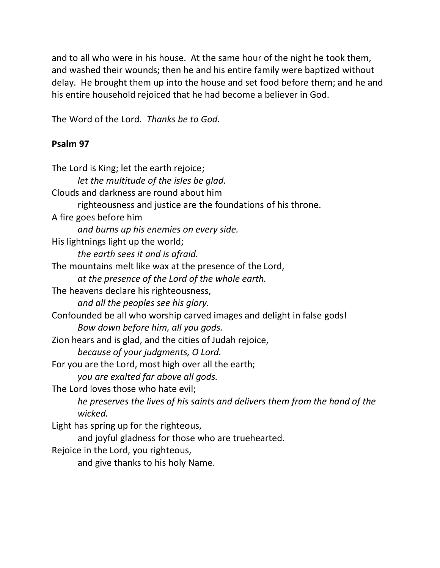and to all who were in his house. At the same hour of the night he took them, and washed their wounds; then he and his entire family were baptized without delay. He brought them up into the house and set food before them; and he and his entire household rejoiced that he had become a believer in God.

The Word of the Lord. *Thanks be to God.*

#### **Psalm 97**

The Lord is King; let the earth rejoice; *let the multitude of the isles be glad.* Clouds and darkness are round about him righteousness and justice are the foundations of his throne. A fire goes before him *and burns up his enemies on every side.* His lightnings light up the world; *the earth sees it and is afraid.* The mountains melt like wax at the presence of the Lord, *at the presence of the Lord of the whole earth.* The heavens declare his righteousness, *and all the peoples see his glory.* Confounded be all who worship carved images and delight in false gods! *Bow down before him, all you gods.* Zion hears and is glad, and the cities of Judah rejoice, *because of your judgments, O Lord.* For you are the Lord, most high over all the earth; *you are exalted far above all gods.* The Lord loves those who hate evil; *he preserves the lives of his saints and delivers them from the hand of the wicked.* Light has spring up for the righteous, and joyful gladness for those who are truehearted. Rejoice in the Lord, you righteous, and give thanks to his holy Name.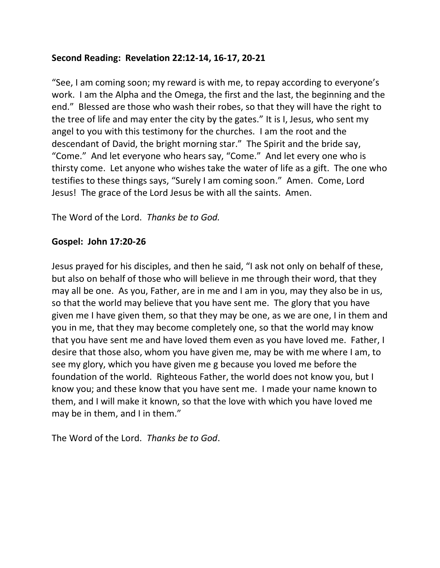# **Second Reading: Revelation 22:12-14, 16-17, 20-21**

"See, I am coming soon; my reward is with me, to repay according to everyone's work. I am the Alpha and the Omega, the first and the last, the beginning and the end." Blessed are those who wash their robes, so that they will have the right to the tree of life and may enter the city by the gates." It is I, Jesus, who sent my angel to you with this testimony for the churches. I am the root and the descendant of David, the bright morning star." The Spirit and the bride say, "Come." And let everyone who hears say, "Come." And let every one who is thirsty come. Let anyone who wishes take the water of life as a gift. The one who testifies to these things says, "Surely I am coming soon." Amen. Come, Lord Jesus! The grace of the Lord Jesus be with all the saints. Amen.

The Word of the Lord. *Thanks be to God.*

#### **Gospel: John 17:20-26**

Jesus prayed for his disciples, and then he said, "I ask not only on behalf of these, but also on behalf of those who will believe in me through their word, that they may all be one. As you, Father, are in me and I am in you, may they also be in us, so that the world may believe that you have sent me. The glory that you have given me I have given them, so that they may be one, as we are one, I in them and you in me, that they may become completely one, so that the world may know that you have sent me and have loved them even as you have loved me. Father, I desire that those also, whom you have given me, may be with me where I am, to see my glory, which you have given me g because you loved me before the foundation of the world. Righteous Father, the world does not know you, but I know you; and these know that you have sent me. I made your name known to them, and I will make it known, so that the love with which you have loved me may be in them, and I in them."

The Word of the Lord. *Thanks be to God*.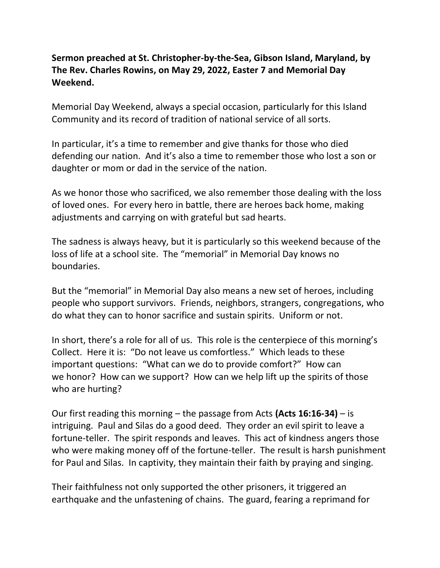# **Sermon preached at St. Christopher-by-the-Sea, Gibson Island, Maryland, by The Rev. Charles Rowins, on May 29, 2022, Easter 7 and Memorial Day Weekend.**

Memorial Day Weekend, always a special occasion, particularly for this Island Community and its record of tradition of national service of all sorts.

In particular, it's a time to remember and give thanks for those who died defending our nation. And it's also a time to remember those who lost a son or daughter or mom or dad in the service of the nation.

As we honor those who sacrificed, we also remember those dealing with the loss of loved ones. For every hero in battle, there are heroes back home, making adjustments and carrying on with grateful but sad hearts.

The sadness is always heavy, but it is particularly so this weekend because of the loss of life at a school site. The "memorial" in Memorial Day knows no boundaries.

But the "memorial" in Memorial Day also means a new set of heroes, including people who support survivors. Friends, neighbors, strangers, congregations, who do what they can to honor sacrifice and sustain spirits. Uniform or not.

In short, there's a role for all of us. This role is the centerpiece of this morning's Collect. Here it is: "Do not leave us comfortless." Which leads to these important questions: "What can we do to provide comfort?" How can we honor? How can we support? How can we help lift up the spirits of those who are hurting?

Our first reading this morning – the passage from Acts **(Acts 16:16-34)** – is intriguing. Paul and Silas do a good deed. They order an evil spirit to leave a fortune-teller. The spirit responds and leaves. This act of kindness angers those who were making money off of the fortune-teller. The result is harsh punishment for Paul and Silas. In captivity, they maintain their faith by praying and singing.

Their faithfulness not only supported the other prisoners, it triggered an earthquake and the unfastening of chains. The guard, fearing a reprimand for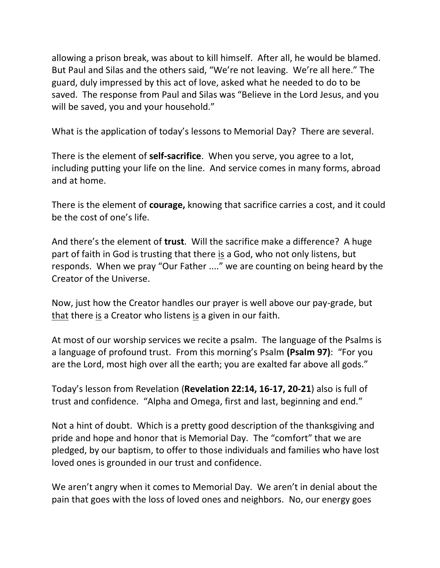allowing a prison break, was about to kill himself. After all, he would be blamed. But Paul and Silas and the others said, "We're not leaving. We're all here." The guard, duly impressed by this act of love, asked what he needed to do to be saved. The response from Paul and Silas was "Believe in the Lord Jesus, and you will be saved, you and your household."

What is the application of today's lessons to Memorial Day? There are several.

There is the element of **self-sacrifice**. When you serve, you agree to a lot, including putting your life on the line. And service comes in many forms, abroad and at home.

There is the element of **courage,** knowing that sacrifice carries a cost, and it could be the cost of one's life.

And there's the element of **trust**. Will the sacrifice make a difference? A huge part of faith in God is trusting that there is a God, who not only listens, but responds. When we pray "Our Father ...." we are counting on being heard by the Creator of the Universe.

Now, just how the Creator handles our prayer is well above our pay-grade, but that there is a Creator who listens is a given in our faith.

At most of our worship services we recite a psalm. The language of the Psalms is a language of profound trust. From this morning's Psalm **(Psalm 97)**: "For you are the Lord, most high over all the earth; you are exalted far above all gods."

Today's lesson from Revelation (**Revelation 22:14, 16-17, 20-21**) also is full of trust and confidence. "Alpha and Omega, first and last, beginning and end."

Not a hint of doubt. Which is a pretty good description of the thanksgiving and pride and hope and honor that is Memorial Day. The "comfort" that we are pledged, by our baptism, to offer to those individuals and families who have lost loved ones is grounded in our trust and confidence.

We aren't angry when it comes to Memorial Day. We aren't in denial about the pain that goes with the loss of loved ones and neighbors. No, our energy goes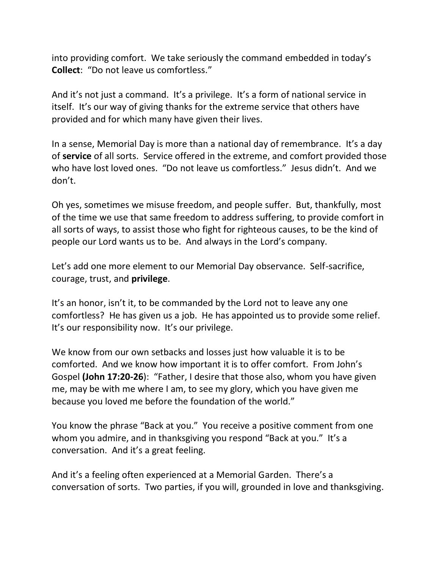into providing comfort. We take seriously the command embedded in today's **Collect**: "Do not leave us comfortless."

And it's not just a command. It's a privilege. It's a form of national service in itself. It's our way of giving thanks for the extreme service that others have provided and for which many have given their lives.

In a sense, Memorial Day is more than a national day of remembrance. It's a day of **service** of all sorts. Service offered in the extreme, and comfort provided those who have lost loved ones. "Do not leave us comfortless." Jesus didn't. And we don't.

Oh yes, sometimes we misuse freedom, and people suffer. But, thankfully, most of the time we use that same freedom to address suffering, to provide comfort in all sorts of ways, to assist those who fight for righteous causes, to be the kind of people our Lord wants us to be. And always in the Lord's company.

Let's add one more element to our Memorial Day observance. Self-sacrifice, courage, trust, and **privilege**.

It's an honor, isn't it, to be commanded by the Lord not to leave any one comfortless? He has given us a job. He has appointed us to provide some relief. It's our responsibility now. It's our privilege.

We know from our own setbacks and losses just how valuable it is to be comforted. And we know how important it is to offer comfort. From John's Gospel **(John 17:20-26**): "Father, I desire that those also, whom you have given me, may be with me where I am, to see my glory, which you have given me because you loved me before the foundation of the world."

You know the phrase "Back at you." You receive a positive comment from one whom you admire, and in thanksgiving you respond "Back at you." It's a conversation. And it's a great feeling.

And it's a feeling often experienced at a Memorial Garden. There's a conversation of sorts. Two parties, if you will, grounded in love and thanksgiving.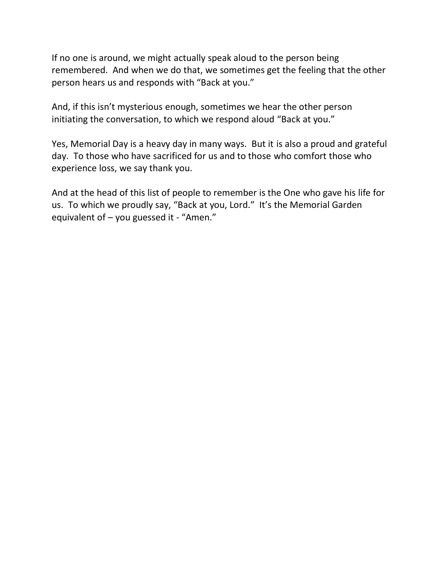If no one is around, we might actually speak aloud to the person being remembered. And when we do that, we sometimes get the feeling that the other person hears us and responds with "Back at you."

And, if this isn't mysterious enough, sometimes we hear the other person initiating the conversation, to which we respond aloud "Back at you."

Yes, Memorial Day is a heavy day in many ways. But it is also a proud and grateful day. To those who have sacrificed for us and to those who comfort those who experience loss, we say thank you.

And at the head of this list of people to remember is the One who gave his life for us. To which we proudly say, "Back at you, Lord." It's the Memorial Garden equivalent of - you guessed it - "Amen."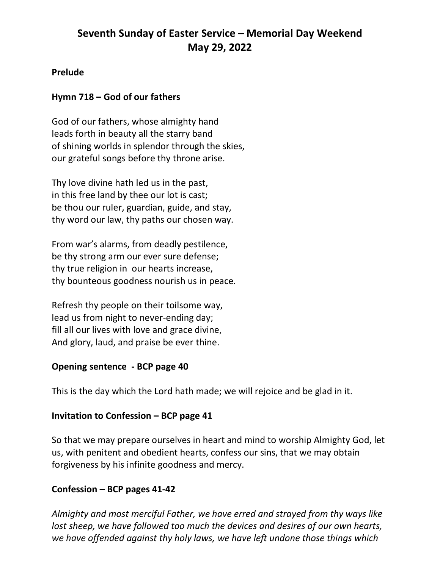# **Seventh Sunday of Easter Service – Memorial Day Weekend May 29, 2022**

# **Prelude**

#### **Hymn 718 – God of our fathers**

God of our fathers, whose almighty hand leads forth in beauty all the starry band of shining worlds in splendor through the skies, our grateful songs before thy throne arise.

Thy love divine hath led us in the past, in this free land by thee our lot is cast; be thou our ruler, guardian, guide, and stay, thy word our law, thy paths our chosen way.

From war's alarms, from deadly pestilence, be thy strong arm our ever sure defense; thy true religion in our hearts increase, thy bounteous goodness nourish us in peace.

Refresh thy people on their toilsome way, lead us from night to never-ending day; fill all our lives with love and grace divine, And glory, laud, and praise be ever thine.

#### **Opening sentence - BCP page 40**

This is the day which the Lord hath made; we will rejoice and be glad in it.

### **Invitation to Confession – BCP page 41**

So that we may prepare ourselves in heart and mind to worship Almighty God, let us, with penitent and obedient hearts, confess our sins, that we may obtain forgiveness by his infinite goodness and mercy.

### **Confession – BCP pages 41-42**

*Almighty and most merciful Father, we have erred and strayed from thy ways like lost sheep, we have followed too much the devices and desires of our own hearts, we have offended against thy holy laws, we have left undone those things which*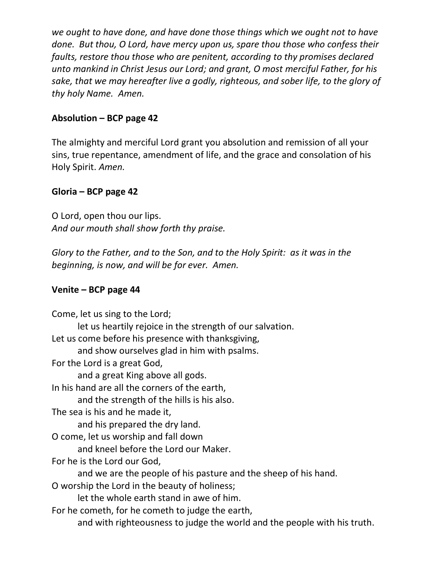*we ought to have done, and have done those things which we ought not to have done. But thou, O Lord, have mercy upon us, spare thou those who confess their faults, restore thou those who are penitent, according to thy promises declared unto mankind in Christ Jesus our Lord; and grant, O most merciful Father, for his sake, that we may hereafter live a godly, righteous, and sober life, to the glory of thy holy Name. Amen.*

# **Absolution – BCP page 42**

The almighty and merciful Lord grant you absolution and remission of all your sins, true repentance, amendment of life, and the grace and consolation of his Holy Spirit. *Amen.*

### **Gloria – BCP page 42**

O Lord, open thou our lips. *And our mouth shall show forth thy praise.*

*Glory to the Father, and to the Son, and to the Holy Spirit: as it was in the beginning, is now, and will be for ever. Amen.*

#### **Venite – BCP page 44**

Come, let us sing to the Lord; let us heartily rejoice in the strength of our salvation. Let us come before his presence with thanksgiving, and show ourselves glad in him with psalms. For the Lord is a great God, and a great King above all gods. In his hand are all the corners of the earth, and the strength of the hills is his also. The sea is his and he made it, and his prepared the dry land. O come, let us worship and fall down and kneel before the Lord our Maker. For he is the Lord our God, and we are the people of his pasture and the sheep of his hand. O worship the Lord in the beauty of holiness; let the whole earth stand in awe of him. For he cometh, for he cometh to judge the earth, and with righteousness to judge the world and the people with his truth.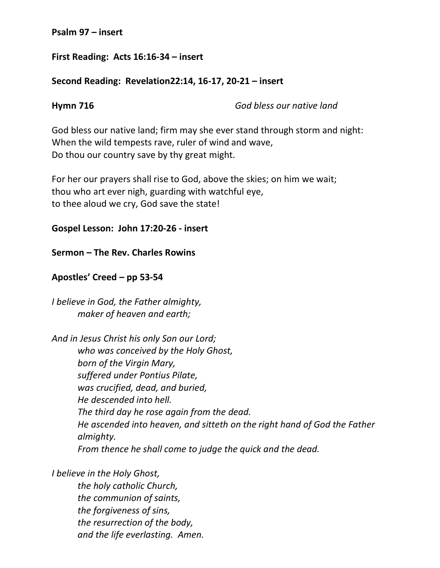#### **Psalm 97 – insert**

#### **First Reading: Acts 16:16-34 – insert**

### **Second Reading: Revelation22:14, 16-17, 20-21 – insert**

**Hymn 716** *God bless our native land*

God bless our native land; firm may she ever stand through storm and night: When the wild tempests rave, ruler of wind and wave, Do thou our country save by thy great might.

For her our prayers shall rise to God, above the skies; on him we wait; thou who art ever nigh, guarding with watchful eye, to thee aloud we cry, God save the state!

#### **Gospel Lesson: John 17:20-26 - insert**

**Sermon – The Rev. Charles Rowins**

### **Apostles' Creed – pp 53-54**

*I believe in God, the Father almighty, maker of heaven and earth;*

*And in Jesus Christ his only Son our Lord; who was conceived by the Holy Ghost, born of the Virgin Mary, suffered under Pontius Pilate, was crucified, dead, and buried, He descended into hell. The third day he rose again from the dead. He ascended into heaven, and sitteth on the right hand of God the Father almighty. From thence he shall come to judge the quick and the dead.*

*I believe in the Holy Ghost,*

*the holy catholic Church, the communion of saints, the forgiveness of sins, the resurrection of the body, and the life everlasting. Amen.*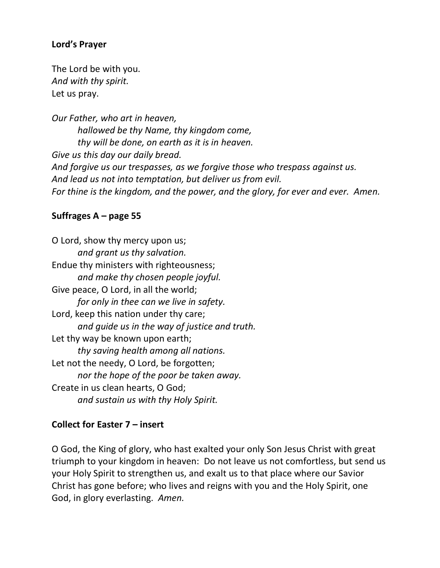### **Lord's Prayer**

The Lord be with you. *And with thy spirit.* Let us pray.

*Our Father, who art in heaven, hallowed be thy Name, thy kingdom come, thy will be done, on earth as it is in heaven. Give us this day our daily bread. And forgive us our trespasses, as we forgive those who trespass against us. And lead us not into temptation, but deliver us from evil. For thine is the kingdom, and the power, and the glory, for ever and ever. Amen.*

# **Suffrages A – page 55**

O Lord, show thy mercy upon us; *and grant us thy salvation.* Endue thy ministers with righteousness; *and make thy chosen people joyful.* Give peace, O Lord, in all the world; *for only in thee can we live in safety.* Lord, keep this nation under thy care; *and guide us in the way of justice and truth.* Let thy way be known upon earth; *thy saving health among all nations.* Let not the needy, O Lord, be forgotten; *nor the hope of the poor be taken away.* Create in us clean hearts, O God; *and sustain us with thy Holy Spirit.*

### **Collect for Easter 7 – insert**

O God, the King of glory, who hast exalted your only Son Jesus Christ with great triumph to your kingdom in heaven: Do not leave us not comfortless, but send us your Holy Spirit to strengthen us, and exalt us to that place where our Savior Christ has gone before; who lives and reigns with you and the Holy Spirit, one God, in glory everlasting. *Amen.*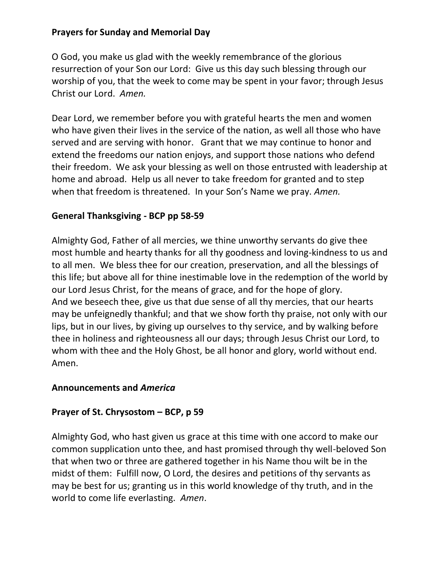# **Prayers for Sunday and Memorial Day**

O God, you make us glad with the weekly remembrance of the glorious resurrection of your Son our Lord: Give us this day such blessing through our worship of you, that the week to come may be spent in your favor; through Jesus Christ our Lord. *Amen.*

Dear Lord, we remember before you with grateful hearts the men and women who have given their lives in the service of the nation, as well all those who have served and are serving with honor. Grant that we may continue to honor and extend the freedoms our nation enjoys, and support those nations who defend their freedom. We ask your blessing as well on those entrusted with leadership at home and abroad. Help us all never to take freedom for granted and to step when that freedom is threatened. In your Son's Name we pray. *Amen.*

# **General Thanksgiving - BCP pp 58-59**

Almighty God, Father of all mercies, we thine unworthy servants do give thee most humble and hearty thanks for all thy goodness and loving-kindness to us and to all men. We bless thee for our creation, preservation, and all the blessings of this life; but above all for thine inestimable love in the redemption of the world by our Lord Jesus Christ, for the means of grace, and for the hope of glory. And we beseech thee, give us that due sense of all thy mercies, that our hearts may be unfeignedly thankful; and that we show forth thy praise, not only with our lips, but in our lives, by giving up ourselves to thy service, and by walking before thee in holiness and righteousness all our days; through Jesus Christ our Lord, to whom with thee and the Holy Ghost, be all honor and glory, world without end. Amen.

### **Announcements and** *America*

### **Prayer of St. Chrysostom – BCP, p 59**

Almighty God, who hast given us grace at this time with one accord to make our common supplication unto thee, and hast promised through thy well-beloved Son that when two or three are gathered together in his Name thou wilt be in the midst of them: Fulfill now, O Lord, the desires and petitions of thy servants as may be best for us; granting us in this world knowledge of thy truth, and in the world to come life everlasting. *Amen*.